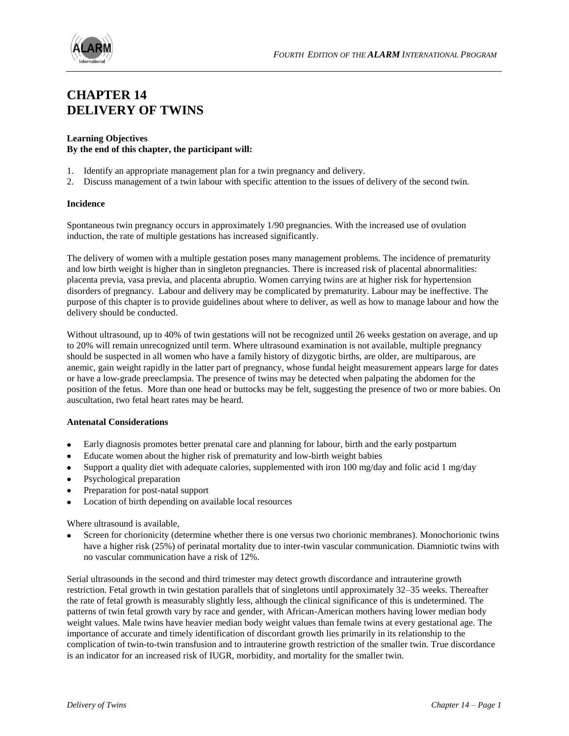

# **CHAPTER 14 DELIVERY OF TWINS**

#### **Learning Objectives By the end of this chapter, the participant will:**

- 1. Identify an appropriate management plan for a twin pregnancy and delivery.
- 2. Discuss management of a twin labour with specific attention to the issues of delivery of the second twin.

# **Incidence**

Spontaneous twin pregnancy occurs in approximately 1/90 pregnancies. With the increased use of ovulation induction, the rate of multiple gestations has increased significantly.

The delivery of women with a multiple gestation poses many management problems. The incidence of prematurity and low birth weight is higher than in singleton pregnancies. There is increased risk of placental abnormalities: placenta previa, vasa previa, and placenta abruptio. Women carrying twins are at higher risk for hypertension disorders of pregnancy. Labour and delivery may be complicated by prematurity. Labour may be ineffective. The purpose of this chapter is to provide guidelines about where to deliver, as well as how to manage labour and how the delivery should be conducted.

Without ultrasound, up to 40% of twin gestations will not be recognized until 26 weeks gestation on average, and up to 20% will remain unrecognized until term. Where ultrasound examination is not available, multiple pregnancy should be suspected in all women who have a family history of dizygotic births, are older, are multiparous, are anemic, gain weight rapidly in the latter part of pregnancy, whose fundal height measurement appears large for dates or have a low-grade preeclampsia. The presence of twins may be detected when palpating the abdomen for the position of the fetus. More than one head or buttocks may be felt, suggesting the presence of two or more babies. On auscultation, two fetal heart rates may be heard.

# **Antenatal Considerations**

- Early diagnosis promotes better prenatal care and planning for labour, birth and the early postpartum
- Educate women about the higher risk of prematurity and low-birth weight babies
- Support a quality diet with adequate calories, supplemented with iron 100 mg/day and folic acid 1 mg/day  $\bullet$
- Psychological preparation
- Preparation for post-natal support
- Location of birth depending on available local resources  $\bullet$

Where ultrasound is available,

Screen for chorionicity (determine whether there is one versus two chorionic membranes). Monochorionic twins have a higher risk (25%) of perinatal mortality due to inter-twin vascular communication. Diamniotic twins with no vascular communication have a risk of 12%.

Serial ultrasounds in the second and third trimester may detect growth discordance and intrauterine growth restriction. Fetal growth in twin gestation parallels that of singletons until approximately 32–35 weeks. Thereafter the rate of fetal growth is measurably slightly less, although the clinical significance of this is undetermined. The patterns of twin fetal growth vary by race and gender, with African-American mothers having lower median body weight values. Male twins have heavier median body weight values than female twins at every gestational age. The importance of accurate and timely identification of discordant growth lies primarily in its relationship to the complication of twin-to-twin transfusion and to intrauterine growth restriction of the smaller twin. True discordance is an indicator for an increased risk of IUGR, morbidity, and mortality for the smaller twin.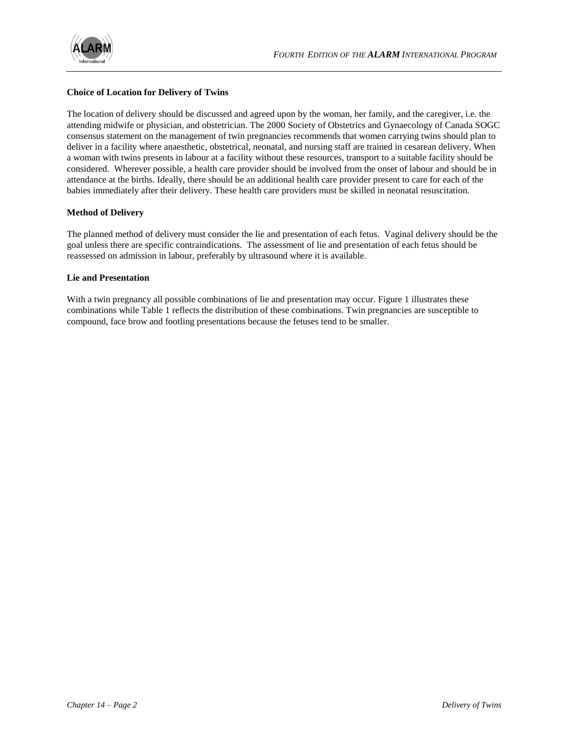

# **Choice of Location for Delivery of Twins**

The location of delivery should be discussed and agreed upon by the woman, her family, and the caregiver, i.e. the attending midwife or physician, and obstetrician. The 2000 Society of Obstetrics and Gynaecology of Canada SOGC consensus statement on the management of twin pregnancies recommends that women carrying twins should plan to deliver in a facility where anaesthetic, obstetrical, neonatal, and nursing staff are trained in cesarean delivery. When a woman with twins presents in labour at a facility without these resources, transport to a suitable facility should be considered. Wherever possible, a health care provider should be involved from the onset of labour and should be in attendance at the births. Ideally, there should be an additional health care provider present to care for each of the babies immediately after their delivery. These health care providers must be skilled in neonatal resuscitation.

# **Method of Delivery**

The planned method of delivery must consider the lie and presentation of each fetus. Vaginal delivery should be the goal unless there are specific contraindications. The assessment of lie and presentation of each fetus should be reassessed on admission in labour, preferably by ultrasound where it is available.

#### **Lie and Presentation**

With a twin pregnancy all possible combinations of lie and presentation may occur. Figure 1 illustrates these combinations while Table 1 reflects the distribution of these combinations. Twin pregnancies are susceptible to compound, face brow and footling presentations because the fetuses tend to be smaller.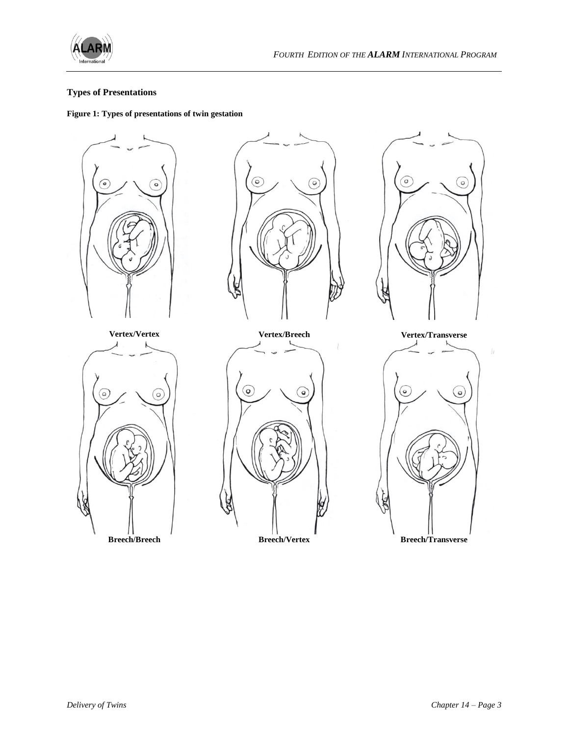

# **Types of Presentations**

# **Figure 1: Types of presentations of twin gestation**









 $\mathcal{W}$ 

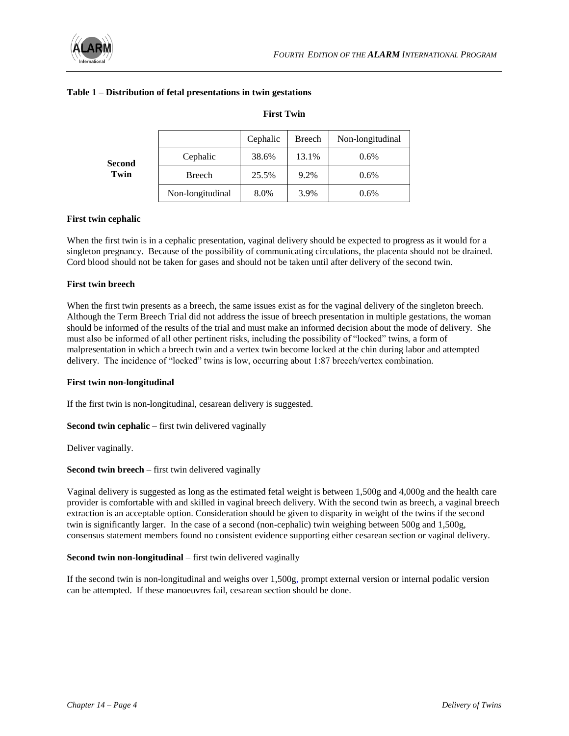

| Second<br>Twin |                  | Cephalic | Breech | Non-longitudinal |
|----------------|------------------|----------|--------|------------------|
|                | Cephalic         | 38.6%    | 13.1%  | $0.6\%$          |
|                | Breech           | 25.5%    | 9.2%   | $0.6\%$          |
|                | Non-longitudinal | 8.0%     | 3.9%   | $0.6\%$          |

# **Table 1 – Distribution of fetal presentations in twin gestations**

#### **First twin cephalic**

When the first twin is in a cephalic presentation, vaginal delivery should be expected to progress as it would for a singleton pregnancy. Because of the possibility of communicating circulations, the placenta should not be drained. Cord blood should not be taken for gases and should not be taken until after delivery of the second twin.

**First Twin**

#### **First twin breech**

When the first twin presents as a breech, the same issues exist as for the vaginal delivery of the singleton breech. Although the Term Breech Trial did not address the issue of breech presentation in multiple gestations, the woman should be informed of the results of the trial and must make an informed decision about the mode of delivery. She must also be informed of all other pertinent risks, including the possibility of "locked" twins, a form of malpresentation in which a breech twin and a vertex twin become locked at the chin during labor and attempted delivery. The incidence of "locked" twins is low, occurring about 1:87 breech/vertex combination.

#### **First twin non-longitudinal**

If the first twin is non-longitudinal, cesarean delivery is suggested.

**Second twin cephalic** – first twin delivered vaginally

Deliver vaginally.

#### **Second twin breech** – first twin delivered vaginally

Vaginal delivery is suggested as long as the estimated fetal weight is between 1,500g and 4,000g and the health care provider is comfortable with and skilled in vaginal breech delivery. With the second twin as breech, a vaginal breech extraction is an acceptable option. Consideration should be given to disparity in weight of the twins if the second twin is significantly larger. In the case of a second (non-cephalic) twin weighing between 500g and 1,500g, consensus statement members found no consistent evidence supporting either cesarean section or vaginal delivery.

#### **Second twin non-longitudinal** – first twin delivered vaginally

If the second twin is non-longitudinal and weighs over 1,500g, prompt external version or internal podalic version can be attempted. If these manoeuvres fail, cesarean section should be done.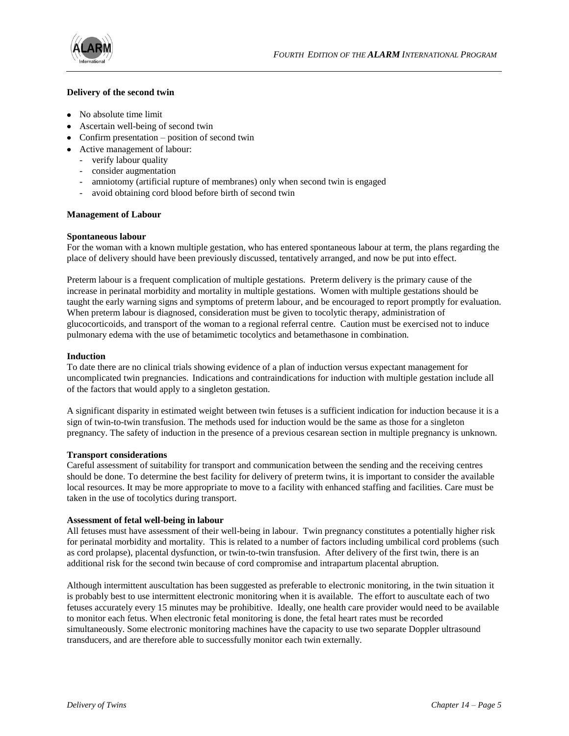

#### **Delivery of the second twin**

- No absolute time limit
- Ascertain well-being of second twin
- Confirm presentation position of second twin
- Active management of labour:
	- verify labour quality
	- consider augmentation
	- amniotomy (artificial rupture of membranes) only when second twin is engaged
	- avoid obtaining cord blood before birth of second twin

#### **Management of Labour**

#### **Spontaneous labour**

For the woman with a known multiple gestation, who has entered spontaneous labour at term, the plans regarding the place of delivery should have been previously discussed, tentatively arranged, and now be put into effect.

Preterm labour is a frequent complication of multiple gestations. Preterm delivery is the primary cause of the increase in perinatal morbidity and mortality in multiple gestations. Women with multiple gestations should be taught the early warning signs and symptoms of preterm labour, and be encouraged to report promptly for evaluation. When preterm labour is diagnosed, consideration must be given to tocolytic therapy, administration of glucocorticoids, and transport of the woman to a regional referral centre. Caution must be exercised not to induce pulmonary edema with the use of betamimetic tocolytics and betamethasone in combination.

#### **Induction**

To date there are no clinical trials showing evidence of a plan of induction versus expectant management for uncomplicated twin pregnancies. Indications and contraindications for induction with multiple gestation include all of the factors that would apply to a singleton gestation.

A significant disparity in estimated weight between twin fetuses is a sufficient indication for induction because it is a sign of twin-to-twin transfusion. The methods used for induction would be the same as those for a singleton pregnancy. The safety of induction in the presence of a previous cesarean section in multiple pregnancy is unknown.

#### **Transport considerations**

Careful assessment of suitability for transport and communication between the sending and the receiving centres should be done. To determine the best facility for delivery of preterm twins, it is important to consider the available local resources. It may be more appropriate to move to a facility with enhanced staffing and facilities. Care must be taken in the use of tocolytics during transport.

#### **Assessment of fetal well-being in labour**

All fetuses must have assessment of their well-being in labour. Twin pregnancy constitutes a potentially higher risk for perinatal morbidity and mortality. This is related to a number of factors including umbilical cord problems (such as cord prolapse), placental dysfunction, or twin-to-twin transfusion. After delivery of the first twin, there is an additional risk for the second twin because of cord compromise and intrapartum placental abruption.

Although intermittent auscultation has been suggested as preferable to electronic monitoring, in the twin situation it is probably best to use intermittent electronic monitoring when it is available. The effort to auscultate each of two fetuses accurately every 15 minutes may be prohibitive. Ideally, one health care provider would need to be available to monitor each fetus. When electronic fetal monitoring is done, the fetal heart rates must be recorded simultaneously. Some electronic monitoring machines have the capacity to use two separate Doppler ultrasound transducers, and are therefore able to successfully monitor each twin externally.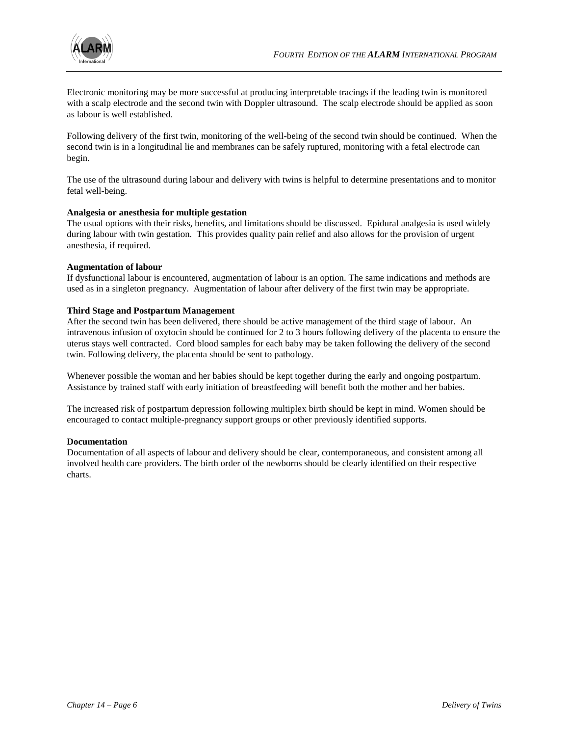

Electronic monitoring may be more successful at producing interpretable tracings if the leading twin is monitored with a scalp electrode and the second twin with Doppler ultrasound. The scalp electrode should be applied as soon as labour is well established.

Following delivery of the first twin, monitoring of the well-being of the second twin should be continued. When the second twin is in a longitudinal lie and membranes can be safely ruptured, monitoring with a fetal electrode can begin.

The use of the ultrasound during labour and delivery with twins is helpful to determine presentations and to monitor fetal well-being.

# **Analgesia or anesthesia for multiple gestation**

The usual options with their risks, benefits, and limitations should be discussed. Epidural analgesia is used widely during labour with twin gestation. This provides quality pain relief and also allows for the provision of urgent anesthesia, if required.

#### **Augmentation of labour**

If dysfunctional labour is encountered, augmentation of labour is an option. The same indications and methods are used as in a singleton pregnancy. Augmentation of labour after delivery of the first twin may be appropriate.

#### **Third Stage and Postpartum Management**

After the second twin has been delivered, there should be active management of the third stage of labour. An intravenous infusion of oxytocin should be continued for 2 to 3 hours following delivery of the placenta to ensure the uterus stays well contracted. Cord blood samples for each baby may be taken following the delivery of the second twin. Following delivery, the placenta should be sent to pathology.

Whenever possible the woman and her babies should be kept together during the early and ongoing postpartum. Assistance by trained staff with early initiation of breastfeeding will benefit both the mother and her babies.

The increased risk of postpartum depression following multiplex birth should be kept in mind. Women should be encouraged to contact multiple-pregnancy support groups or other previously identified supports.

#### **Documentation**

Documentation of all aspects of labour and delivery should be clear, contemporaneous, and consistent among all involved health care providers. The birth order of the newborns should be clearly identified on their respective charts.